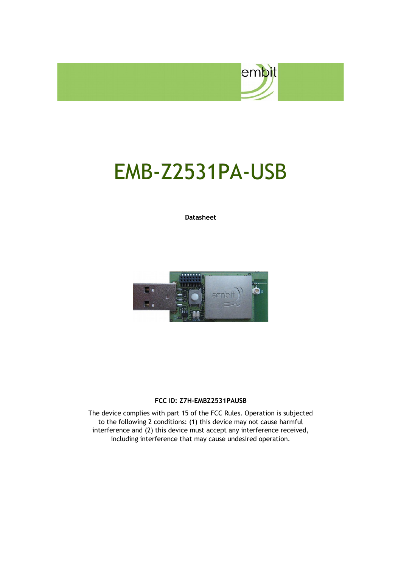

# EMB-Z2531PA-USB

**Datasheet**



#### **FCC ID: Z7H-EMBZ2531PAUSB**

The device complies with part 15 of the FCC Rules. Operation is subjected to the following 2 conditions: (1) this device may not cause harmful interference and (2) this device must accept any interference received, including interference that may cause undesired operation.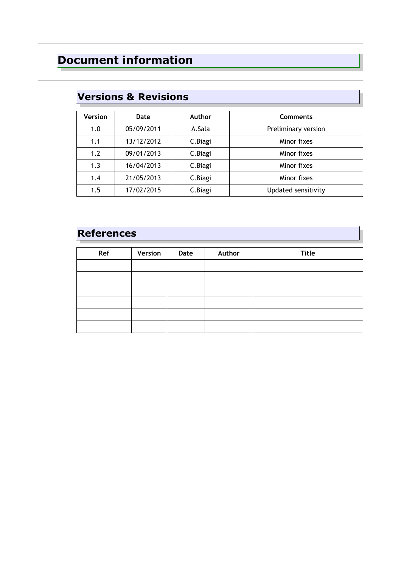### **Document information**

| <b>Version</b> | Date       | Author   | <b>Comments</b>     |
|----------------|------------|----------|---------------------|
| 1.0            | 05/09/2011 | A.Sala   | Preliminary version |
| 1.1            | 13/12/2012 | C. Biagi | Minor fixes         |
| 1.2            | 09/01/2013 | C. Biagi | Minor fixes         |
| 1.3            | 16/04/2013 | C. Biagi | Minor fixes         |
| 1.4            | 21/05/2013 | C. Biagi | Minor fixes         |
| 1.5            | 17/02/2015 | C. Biagi | Updated sensitivity |

### **Versions & Revisions**

### **References**

| Ref | Version | Date | Author | <b>Title</b> |
|-----|---------|------|--------|--------------|
|     |         |      |        |              |
|     |         |      |        |              |
|     |         |      |        |              |
|     |         |      |        |              |
|     |         |      |        |              |
|     |         |      |        |              |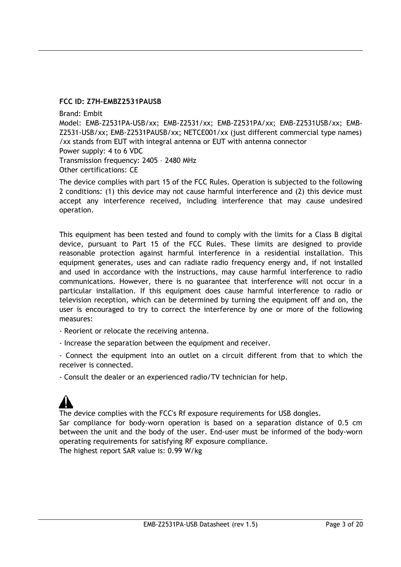#### **FCC ID: Z7H-EMBZ2531PAUSB**

Brand: Embit Model: EMB-Z2531PA-USB/xx; EMB-Z2531/xx; EMB-Z2531PA/xx; EMB-Z2531USB/xx; EMB-Z2531-USB/xx; EMB-Z2531PAUSB/xx; NETCE001/xx (just different commercial type names) /xx stands from EUT with integral antenna or EUT with antenna connector Power supply: 4 to 6 VDC Transmission frequency: 2405 – 2480 MHz Other certifications: CE

The device complies with part 15 of the FCC Rules. Operation is subjected to the following 2 conditions: (1) this device may not cause harmful interference and (2) this device must accept any interference received, including interference that may cause undesired operation.

This equipment has been tested and found to comply with the limits for a Class B digital device, pursuant to Part 15 of the FCC Rules. These limits are designed to provide reasonable protection against harmful interference in a residential installation. This equipment generates, uses and can radiate radio frequency energy and, if not installed and used in accordance with the instructions, may cause harmful interference to radio communications. However, there is no guarantee that interference will not occur in a particular installation. If this equipment does cause harmful interference to radio or television reception, which can be determined by turning the equipment off and on, the user is encouraged to try to correct the interference by one or more of the following measures:

- Reorient or relocate the receiving antenna.

- Increase the separation between the equipment and receiver.

- Connect the equipment into an outlet on a circuit different from that to which the receiver is connected.

- Consult the dealer or an experienced radio/TV technician for help.

The device complies with the FCC's Rf exposure requirements for USB dongles.

Sar compliance for body-worn operation is based on a separation distance of 0.5 cm between the unit and the body of the user. End-user must be informed of the body-worn operating requirements for satisfying RF exposure compliance.

The highest report SAR value is: 0.99 W/kg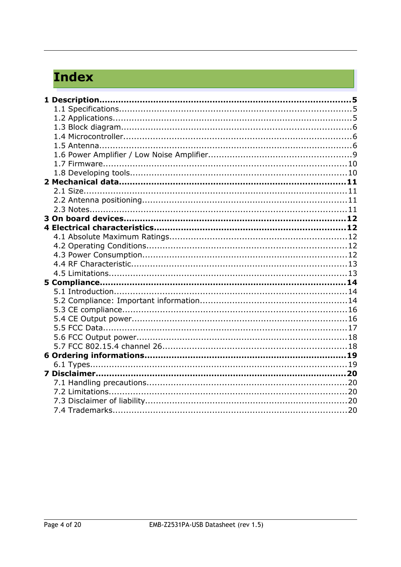## **Index**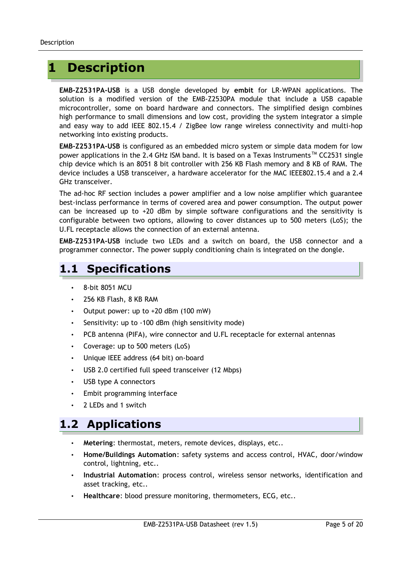### **1 Description**

**EMB-Z2531PA-USB** is a USB dongle developed by **embit** for LR-WPAN applications. The solution is a modified version of the EMB-Z2530PA module that include a USB capable microcontroller, some on board hardware and connectors. The simplified design combines high performance to small dimensions and low cost, providing the system integrator a simple and easy way to add IEEE 802.15.4 / ZigBee low range wireless connectivity and multi-hop networking into existing products.

**EMB-Z2531PA-USB** is configured as an embedded micro system or simple data modem for low power applications in the 2.4 GHz ISM band. It is based on a Texas Instruments™ CC2531 single chip device which is an 8051 8 bit controller with 256 KB Flash memory and 8 KB of RAM. The device includes a USB transceiver, a hardware accelerator for the MAC IEEE802.15.4 and a 2.4 GHz transceiver.

The ad-hoc RF section includes a power amplifier and a low noise amplifier which guarantee best-inclass performance in terms of covered area and power consumption. The output power can be increased up to  $+20$  dBm by simple software configurations and the sensitivity is configurable between two options, allowing to cover distances up to 500 meters (LoS); the U.FL receptacle allows the connection of an external antenna.

**EMB-Z2531PA-USB** include two LEDs and a switch on board, the USB connector and a programmer connector. The power supply conditioning chain is integrated on the dongle.

### **1.1 Specifications**

- 8-bit 8051 MCU
- 256 KB Flash, 8 KB RAM
- Output power: up to +20 dBm (100 mW)
- Sensitivity: up to -100 dBm (high sensitivity mode)
- PCB antenna (PIFA), wire connector and U.FL receptacle for external antennas
- Coverage: up to 500 meters (LoS)
- Unique IEEE address (64 bit) on-board
- USB 2.0 certified full speed transceiver (12 Mbps)
- USB type A connectors
- Embit programming interface
- 2 LEDs and 1 switch

### **1.2 Applications**

- **Metering**: thermostat, meters, remote devices, displays, etc..
- **Home/Buildings Automation**: safety systems and access control, HVAC, door/window control, lightning, etc..
- **Industrial Automation**: process control, wireless sensor networks, identification and asset tracking, etc..
- **Healthcare**: blood pressure monitoring, thermometers, ECG, etc..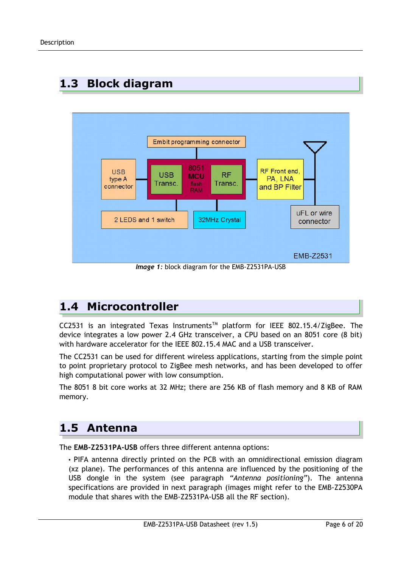

### **1.3 Block diagram**

*Image 1:* block diagram for the EMB-Z2531PA-USB

### **1.4 Microcontroller**

CC2531 is an integrated Texas Instruments™ platform for IEEE 802.15.4/ZigBee. The device integrates a low power 2.4 GHz transceiver, a CPU based on an 8051 core (8 bit) with hardware accelerator for the IEEE 802.15.4 MAC and a USB transceiver.

The CC2531 can be used for different wireless applications, starting from the simple point to point proprietary protocol to ZigBee mesh networks, and has been developed to offer high computational power with low consumption.

The 8051 8 bit core works at 32 MHz; there are 256 KB of flash memory and 8 KB of RAM memory.

### **1.5 Antenna**

The **EMB-Z2531PA-USB** offers three different antenna options:

• PIFA antenna directly printed on the PCB with an omnidirectional emission diagram (xz plane). The performances of this antenna are influenced by the positioning of the USB dongle in the system (see paragraph *"Antenna positioning"*). The antenna specifications are provided in next paragraph (images might refer to the EMB-Z2530PA module that shares with the EMB-Z2531PA-USB all the RF section).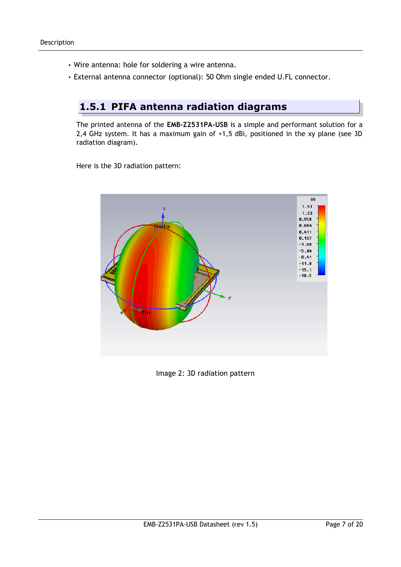- Wire antenna: hole for soldering a wire antenna.
- External antenna connector (optional): 50 Ohm single ended U.FL connector.

#### **1.5.1 PIFA antenna radiation diagrams**

The printed antenna of the **EMB-Z2531PA-USB** is a simple and performant solution for a 2,4 GHz system. It has a maximum gain of +1,5 dBi, positioned in the xy plane (see 3D radiation diagram).

Here is the 3D radiation pattern:



Image 2: 3D radiation pattern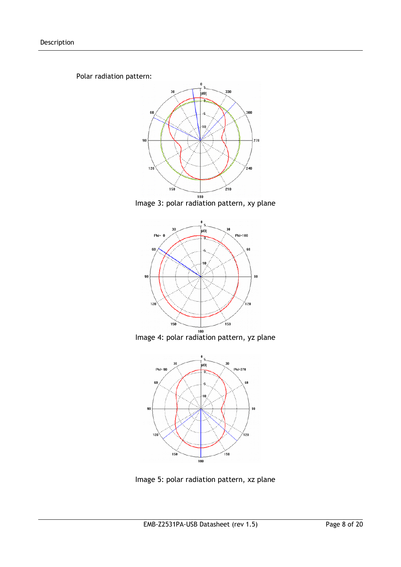Polar radiation pattern:







Image 4: polar radiation pattern, yz plane



Image 5: polar radiation pattern, xz plane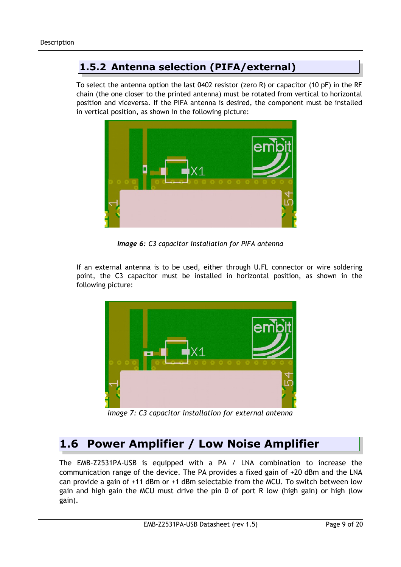#### **1.5.2 Antenna selection (PIFA/external)**

To select the antenna option the last 0402 resistor (zero R) or capacitor (10 pF) in the RF chain (the one closer to the printed antenna) must be rotated from vertical to horizontal position and viceversa. If the PIFA antenna is desired, the component must be installed in vertical position, as shown in the following picture:



*Image 6: C3 capacitor installation for PIFA antenna*

If an external antenna is to be used, either through U.FL connector or wire soldering point, the C3 capacitor must be installed in horizontal position, as shown in the following picture:



*Image 7: C3 capacitor installation for external antenna*

### **1.6 Power Amplifier / Low Noise Amplifier**

The EMB-Z2531PA-USB is equipped with a PA / LNA combination to increase the communication range of the device. The PA provides a fixed gain of +20 dBm and the LNA can provide a gain of +11 dBm or +1 dBm selectable from the MCU. To switch between low gain and high gain the MCU must drive the pin 0 of port R low (high gain) or high (low gain).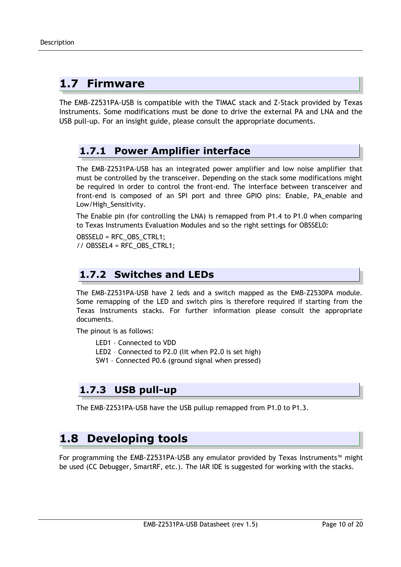### **1.7 Firmware**

The EMB-Z2531PA-USB is compatible with the TIMAC stack and Z-Stack provided by Texas Instruments. Some modifications must be done to drive the external PA and LNA and the USB pull-up. For an insight guide, please consult the appropriate documents.

#### **1.7.1 Power Amplifier interface**

The EMB-Z2531PA-USB has an integrated power amplifier and low noise amplifier that must be controlled by the transceiver. Depending on the stack some modifications might be required in order to control the front-end. The interface between transceiver and front-end is composed of an SPI port and three GPIO pins: Enable, PA\_enable and Low/High\_Sensitivity.

The Enable pin (for controlling the LNA) is remapped from P1.4 to P1.0 when comparing to Texas Instruments Evaluation Modules and so the right settings for OBSSEL0:

OBSSEL0 = RFC\_OBS\_CTRL1; // OBSSEL4 = RFC\_OBS\_CTRL1;

#### **1.7.2 Switches and LEDs**

The EMB-Z2531PA-USB have 2 leds and a switch mapped as the EMB-Z2530PA module. Some remapping of the LED and switch pins is therefore required if starting from the Texas Instruments stacks. For further information please consult the appropriate documents.

The pinout is as follows:

- LED1 Connected to VDD
- LED2 Connected to P2.0 (lit when P2.0 is set high)
- SW1 Connected P0.6 (ground signal when pressed)

#### **1.7.3 USB pull-up**

The EMB-Z2531PA-USB have the USB pullup remapped from P1.0 to P1.3.

### **1.8 Developing tools**

For programming the EMB-Z2531PA-USB any emulator provided by Texas Instruments™ might be used (CC Debugger, SmartRF, etc.). The IAR IDE is suggested for working with the stacks.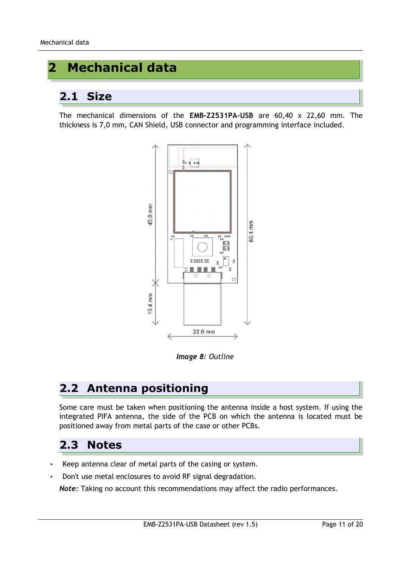### **2 Mechanical data**

### **2.1 Size**

The mechanical dimensions of the **EMB-Z2531PA-USB** are 60,40 x 22,60 mm. The thickness is 7,0 mm, CAN Shield, USB connector and programming interface included.



*Image 8: Outline*

### **2.2 Antenna positioning**

Some care must be taken when positioning the antenna inside a host system. If using the integrated PIFA antenna, the side of the PCB on which the antenna is located must be positioned away from metal parts of the case or other PCBs.

### **2.3 Notes**

- Keep antenna clear of metal parts of the casing or system.
- Don't use metal enclosures to avoid RF signal degradation.

*Note:* Taking no account this recommendations may affect the radio performances.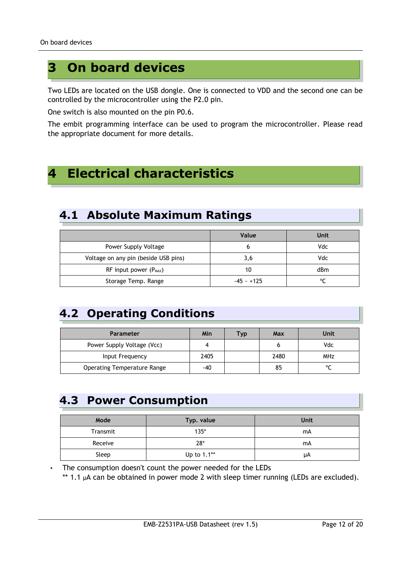### **3 On board devices**

Two LEDs are located on the USB dongle. One is connected to VDD and the second one can be controlled by the microcontroller using the P2.0 pin.

One switch is also mounted on the pin P0.6.

The embit programming interface can be used to program the microcontroller. Please read the appropriate document for more details.

### **4 Electrical characteristics**

### **4.1 Absolute Maximum Ratings**

|                                      | Value        | Unit   |
|--------------------------------------|--------------|--------|
| Power Supply Voltage                 | b            | Vdc    |
| Voltage on any pin (beside USB pins) | 3,6          | Vdc    |
| RF input power $(P_{MAX})$           | 10           | dBm    |
| Storage Temp. Range                  | $-45 - +125$ | $\sim$ |

### **4.2 Operating Conditions**

| <b>Parameter</b>                   | Min  | Tvp | Max  | Unit       |
|------------------------------------|------|-----|------|------------|
| Power Supply Voltage (Vcc)         |      |     |      | Vdc        |
| Input Frequency                    | 2405 |     | 2480 | <b>MHz</b> |
| <b>Operating Temperature Range</b> | -40  |     | 85   |            |

### **4.3 Power Consumption**

| Mode     | Typ. value  | Unit |
|----------|-------------|------|
| Transmit | $135*$      | mA   |
| Receive  | $28*$       | mA   |
| Sleep    | Up to 1.1** | μA   |

• The consumption doesn't count the power needed for the LEDs \*\* 1.1 µA can be obtained in power mode 2 with sleep timer running (LEDs are excluded).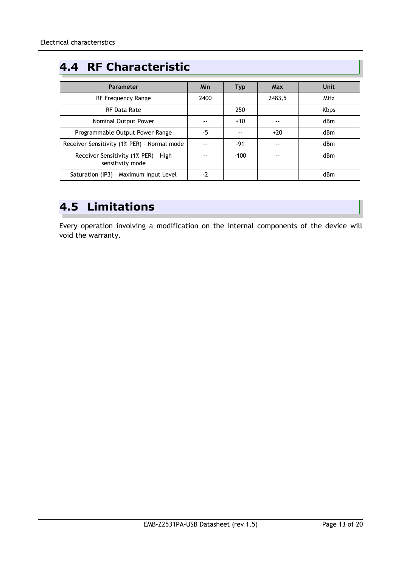### **4.4 RF Characteristic**

| Parameter                                                | Min  | <b>Typ</b> | <b>Max</b> | Unit            |
|----------------------------------------------------------|------|------------|------------|-----------------|
| RF Frequency Range                                       | 2400 |            | 2483,5     | <b>MHz</b>      |
| RF Data Rate                                             |      | 250        |            | <b>Kbps</b>     |
| Nominal Output Power                                     |      | $+10$      |            | dBm             |
| Programmable Output Power Range                          | -5   | --         | $+20$      | dBm             |
| Receiver Sensitivity (1% PER) - Normal mode              |      | -91        |            | dBm             |
| Receiver Sensitivity (1% PER) - High<br>sensitivity mode |      | $-100$     |            | d <sub>Bm</sub> |
| Saturation (IP3) - Maximum Input Level                   | $-2$ |            |            | dBm             |

### **4.5 Limitations**

Every operation involving a modification on the internal components of the device will void the warranty.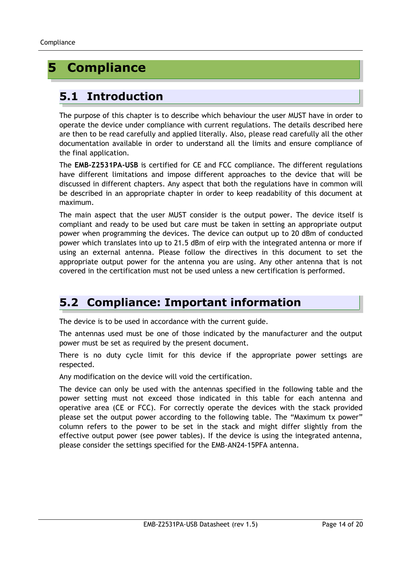### **5 Compliance**

### **5.1 Introduction**

The purpose of this chapter is to describe which behaviour the user MUST have in order to operate the device under compliance with current regulations. The details described here are then to be read carefully and applied literally. Also, please read carefully all the other documentation available in order to understand all the limits and ensure compliance of the final application.

The **EMB-Z2531PA-USB** is certified for CE and FCC compliance. The different regulations have different limitations and impose different approaches to the device that will be discussed in different chapters. Any aspect that both the regulations have in common will be described in an appropriate chapter in order to keep readability of this document at maximum.

The main aspect that the user MUST consider is the output power. The device itself is compliant and ready to be used but care must be taken in setting an appropriate output power when programming the devices. The device can output up to 20 dBm of conducted power which translates into up to 21.5 dBm of eirp with the integrated antenna or more if using an external antenna. Please follow the directives in this document to set the appropriate output power for the antenna you are using. Any other antenna that is not covered in the certification must not be used unless a new certification is performed.

### **5.2 Compliance: Important information**

The device is to be used in accordance with the current guide.

The antennas used must be one of those indicated by the manufacturer and the output power must be set as required by the present document.

There is no duty cycle limit for this device if the appropriate power settings are respected.

Any modification on the device will void the certification.

The device can only be used with the antennas specified in the following table and the power setting must not exceed those indicated in this table for each antenna and operative area (CE or FCC). For correctly operate the devices with the stack provided please set the output power according to the following table. The "Maximum tx power" column refers to the power to be set in the stack and might differ slightly from the effective output power (see power tables). If the device is using the integrated antenna, please consider the settings specified for the EMB-AN24-15PFA antenna.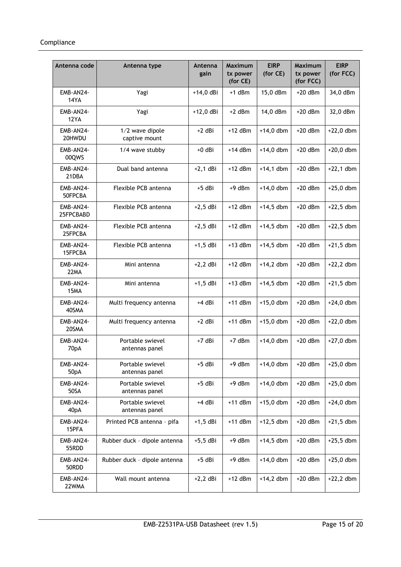| Antenna code             | Antenna type                       | Antenna<br>gain | <b>Maximum</b><br>tx power<br>(for CE) | <b>EIRP</b><br>(for CE) | <b>Maximum</b><br>tx power<br>(for FCC) | <b>EIRP</b><br>(for FCC) |
|--------------------------|------------------------------------|-----------------|----------------------------------------|-------------------------|-----------------------------------------|--------------------------|
| EMB-AN24-<br><b>14YA</b> | Yagi                               | $+14,0$ dBi     | +1 dBm                                 | 15,0 dBm                | $+20$ dBm                               | 34,0 dBm                 |
| EMB-AN24-<br><b>12YA</b> | Yagi                               | $+12,0$ dBi     | $+2$ dBm                               | 14,0 dBm                | $+20$ dBm                               | 32,0 dBm                 |
| EMB-AN24-<br>20HWDU      | 1/2 wave dipole<br>captive mount   | $+2$ dBi        | $+12$ dBm                              | $+14,0$ dbm             | $+20$ dBm                               | $+22,0$ dbm              |
| EMB-AN24-<br>00QWS       | 1/4 wave stubby                    | $+0$ dBi        | $+14$ dBm                              | $+14,0$ dbm             | $+20$ dBm                               | $+20,0$ dbm              |
| EMB-AN24-<br>21DBA       | Dual band antenna                  | $+2,1$ dBi      | $+12$ dBm                              | $+14,1$ dbm             | $+20$ dBm                               | $+22,1$ dbm              |
| EMB-AN24-<br>50FPCBA     | Flexible PCB antenna               | $+5$ dBi        | $+9$ dBm                               | $+14,0$ dbm             | $+20$ dBm                               | $+25,0$ dbm              |
| EMB-AN24-<br>25FPCBABD   | Flexible PCB antenna               | $+2,5$ dBi      | $+12$ dBm                              | $+14,5$ dbm             | $+20$ dBm                               | $+22,5$ dbm              |
| EMB-AN24-<br>25FPCBA     | Flexible PCB antenna               | $+2,5$ dBi      | $+12$ dBm                              | $+14,5$ dbm             | $+20$ dBm                               | $+22,5$ dbm              |
| EMB-AN24-<br>15FPCBA     | Flexible PCB antenna               | $+1,5$ dBi      | $+13$ dBm                              | $+14,5$ dbm             | $+20$ dBm                               | $+21,5$ dbm              |
| EMB-AN24-<br>22MA        | Mini antenna                       | $+2,2$ dBi      | $+12$ dBm                              | $+14,2$ dbm             | $+20$ dBm                               | $+22,2$ dbm              |
| EMB-AN24-<br>15MA        | Mini antenna                       | $+1,5$ dBi      | $+13$ dBm                              | $+14,5$ dbm             | $+20$ dBm                               | $+21,5$ dbm              |
| EMB-AN24-<br>40SMA       | Multi frequency antenna            | +4 dBi          | $+11$ dBm                              | $+15,0$ dbm             | $+20$ dBm                               | $+24,0$ dbm              |
| EMB-AN24-<br>20SMA       | Multi frequency antenna            | $+2$ dBi        | $+11$ dBm                              | $+15,0$ dbm             | $+20$ dBm                               | $+22,0$ dbm              |
| EMB-AN24-<br>70pA        | Portable swievel<br>antennas panel | $+7$ dBi        | $+7$ dBm                               | $+14,0$ dbm             | $+20$ dBm                               | $+27,0$ dbm              |
| EMB-AN24-<br>50pA        | Portable swievel<br>antennas panel | +5 dBi          | $+9$ dBm                               | $+14,0$ dbm             | $+20$ dBm                               | $+25,0$ dbm              |
| EMB-AN24-<br>50SA        | Portable swievel<br>antennas panel | +5 dBi          | $+9$ dBm                               | $+14,0$ dbm             | $+20$ dBm                               | $+25,0$ dbm              |
| EMB-AN24-<br>40pA        | Portable swievel<br>antennas panel | +4 dBi          | $+11$ dBm                              | $+15,0$ dbm             | $+20$ dBm                               | $+24,0$ dbm              |
| EMB-AN24-<br>15PFA       | Printed PCB antenna - pifa         | $+1,5$ dBi      | $+11$ dBm                              | $+12,5$ dbm             | $+20$ dBm                               | $+21,5$ dbm              |
| EMB-AN24-<br>55RDD       | Rubber duck - dipole antenna       | $+5,5$ dBi      | $+9$ dBm                               | $+14,5$ dbm             | $+20$ dBm                               | $+25,5$ dbm              |
| EMB-AN24-<br>50RDD       | Rubber duck - dipole antenna       | +5 dBi          | $+9$ dBm                               | $+14,0$ dbm             | $+20$ dBm                               | $+25,0$ dbm              |
| EMB-AN24-<br>22WMA       | Wall mount antenna                 | $+2,2$ dBi      | $+12$ dBm                              | $+14,2$ dbm             | $+20$ dBm                               | $+22,2$ dbm              |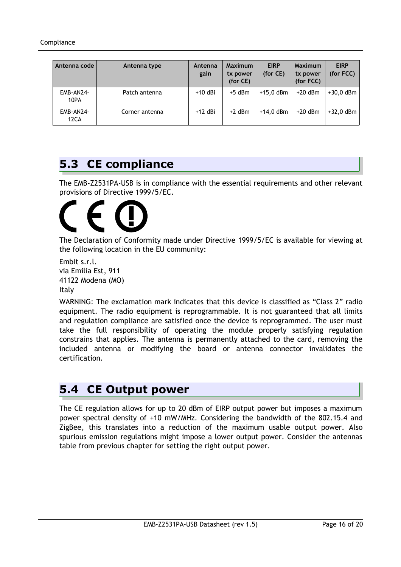| Antenna code      | Antenna type   | Antenna<br>gain | <b>Maximum</b><br>tx power<br>(for CE) | <b>EIRP</b><br>(for CE) | <b>Maximum</b><br>tx power<br>(for FCC) | <b>EIRP</b><br>(for FCC) |
|-------------------|----------------|-----------------|----------------------------------------|-------------------------|-----------------------------------------|--------------------------|
| EMB-AN24-<br>10PA | Patch antenna  | $+10$ dBi       | $+5$ dBm                               | $+15.0$ dBm             | $+20$ dBm                               | $+30,0$ dBm              |
| EMB-AN24-<br>12CA | Corner antenna | +12 dBi         | $+2$ dBm                               | $+14.0$ dBm             | $+20$ dBm                               | $+32,0$ dBm              |

### **5.3 CE compliance**

The EMB-Z2531PA-USB is in compliance with the essential requirements and other relevant provisions of Directive 1999/5/EC.

The Declaration of Conformity made under Directive 1999/5/EC is available for viewing at the following location in the EU community:

```
Embit s.r.l.
via Emilia Est, 911
41122 Modena (MO)
Italy
```
WARNING: The exclamation mark indicates that this device is classified as "Class 2" radio equipment. The radio equipment is reprogrammable. It is not guaranteed that all limits and regulation compliance are satisfied once the device is reprogrammed. The user must take the full responsibility of operating the module properly satisfying regulation constrains that applies. The antenna is permanently attached to the card, removing the included antenna or modifying the board or antenna connector invalidates the certification.

### **5.4 CE Output power**

The CE regulation allows for up to 20 dBm of EIRP output power but imposes a maximum power spectral density of +10 mW/MHz. Considering the bandwidth of the 802.15.4 and ZigBee, this translates into a reduction of the maximum usable output power. Also spurious emission regulations might impose a lower output power. Consider the antennas table from previous chapter for setting the right output power.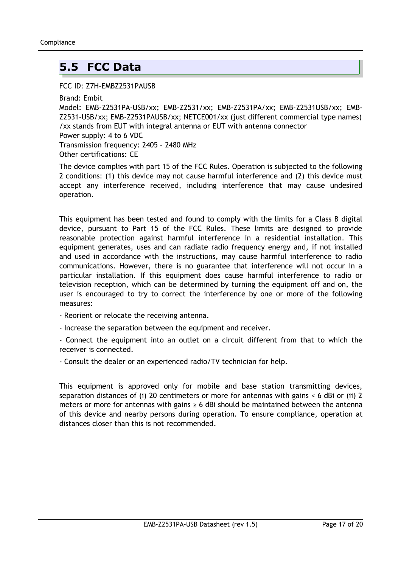### **5.5 FCC Data**

#### FCC ID: Z7H-EMBZ2531PAUSB

Brand: Embit

Model: EMB-Z2531PA-USB/xx; EMB-Z2531/xx; EMB-Z2531PA/xx; EMB-Z2531USB/xx; EMB-Z2531-USB/xx; EMB-Z2531PAUSB/xx; NETCE001/xx (just different commercial type names) /xx stands from EUT with integral antenna or EUT with antenna connector Power supply: 4 to 6 VDC Transmission frequency: 2405 – 2480 MHz Other certifications: CE

The device complies with part 15 of the FCC Rules. Operation is subjected to the following 2 conditions: (1) this device may not cause harmful interference and (2) this device must accept any interference received, including interference that may cause undesired operation.

This equipment has been tested and found to comply with the limits for a Class B digital device, pursuant to Part 15 of the FCC Rules. These limits are designed to provide reasonable protection against harmful interference in a residential installation. This equipment generates, uses and can radiate radio frequency energy and, if not installed and used in accordance with the instructions, may cause harmful interference to radio communications. However, there is no guarantee that interference will not occur in a particular installation. If this equipment does cause harmful interference to radio or television reception, which can be determined by turning the equipment off and on, the user is encouraged to try to correct the interference by one or more of the following measures:

- Reorient or relocate the receiving antenna.

- Increase the separation between the equipment and receiver.

- Connect the equipment into an outlet on a circuit different from that to which the receiver is connected.

- Consult the dealer or an experienced radio/TV technician for help.

This equipment is approved only for mobile and base station transmitting devices, separation distances of (i) 20 centimeters or more for antennas with gains < 6 dBi or (ii) 2 meters or more for antennas with gains  $\geq 6$  dBi should be maintained between the antenna of this device and nearby persons during operation. To ensure compliance, operation at distances closer than this is not recommended.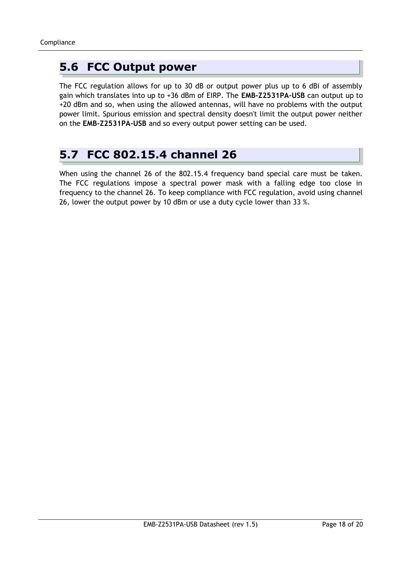### **5.6 FCC Output power**

The FCC regulation allows for up to 30 dB or output power plus up to 6 dBi of assembly gain which translates into up to +36 dBm of EIRP. The **EMB-Z2531PA-USB** can output up to +20 dBm and so, when using the allowed antennas, will have no problems with the output power limit. Spurious emission and spectral density doesn't limit the output power neither on the **EMB-Z2531PA-USB** and so every output power setting can be used.

### **5.7 FCC 802.15.4 channel 26**

When using the channel 26 of the 802.15.4 frequency band special care must be taken. The FCC regulations impose a spectral power mask with a falling edge too close in frequency to the channel 26. To keep compliance with FCC regulation, avoid using channel 26, lower the output power by 10 dBm or use a duty cycle lower than 33 %.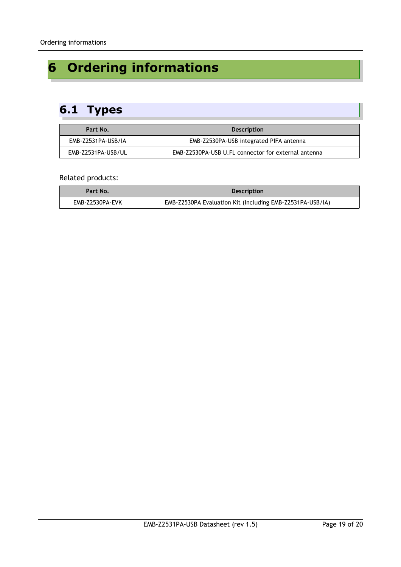## **6 Ordering informations**

### **6.1 Types**

| Part No.           | <b>Description</b>                                  |
|--------------------|-----------------------------------------------------|
| EMB-Z2531PA-USB/IA | EMB-Z2530PA-USB integrated PIFA antenna             |
| EMB-Z2531PA-USB/UL | EMB-Z2530PA-USB U.FL connector for external antenna |

#### Related products:

| Part No.        | <b>Description</b>                                        |
|-----------------|-----------------------------------------------------------|
| EMB-Z2530PA-EVK | EMB-Z2530PA Evaluation Kit (Including EMB-Z2531PA-USB/IA) |